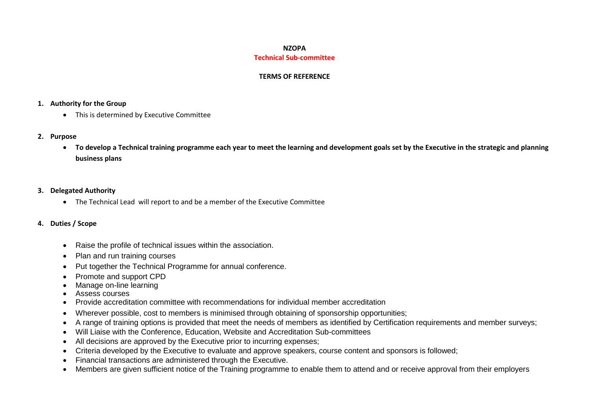# **NZOPA Technical Sub-committee**

## **TERMS OF REFERENCE**

# **1. Authority for the Group**

- This is determined by Executive Committee
- **2. Purpose**
	- **To develop a Technical training programme each year to meet the learning and development goals set by the Executive in the strategic and planning business plans**

## **3. Delegated Authority**

- The Technical Lead will report to and be a member of the Executive Committee
- **4. Duties / Scope**
	- Raise the profile of technical issues within the association.
	- Plan and run training courses
	- Put together the Technical Programme for annual conference.
	- Promote and support CPD
	- Manage on-line learning
	- Assess courses
	- Provide accreditation committee with recommendations for individual member accreditation
	- Wherever possible, cost to members is minimised through obtaining of sponsorship opportunities;
	- A range of training options is provided that meet the needs of members as identified by Certification requirements and member surveys;
	- Will Liaise with the Conference, Education, Website and Accreditation Sub-committees
	- All decisions are approved by the Executive prior to incurring expenses;
	- Criteria developed by the Executive to evaluate and approve speakers, course content and sponsors is followed;
	- Financial transactions are administered through the Executive.
	- Members are given sufficient notice of the Training programme to enable them to attend and or receive approval from their employers